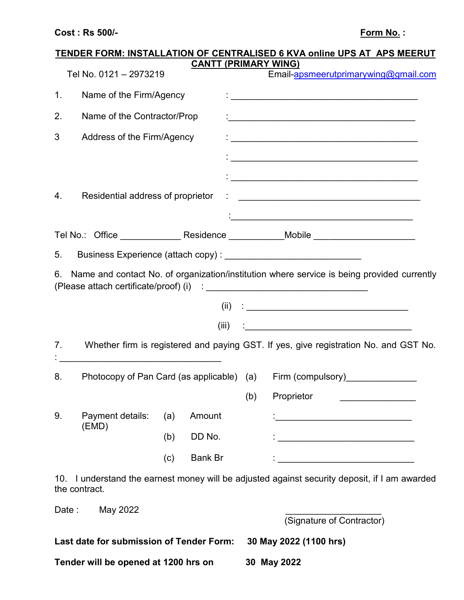## **Cost : Rs 500/- Form No. : Form No. :**

|                |                                          |     |                |     | TENDER FORM: INSTALLATION OF CENTRALISED 6 KVA online UPS AT APS MEERUT<br><b>CANTT (PRIMARY WING)</b>               |
|----------------|------------------------------------------|-----|----------------|-----|----------------------------------------------------------------------------------------------------------------------|
|                | Tel No. 0121 - 2973219                   |     |                |     | Email-apsmeerutprimarywing@gmail.com                                                                                 |
| 1.             | Name of the Firm/Agency                  |     |                |     |                                                                                                                      |
| 2.             | Name of the Contractor/Prop              |     |                |     |                                                                                                                      |
| 3              | Address of the Firm/Agency               |     |                |     |                                                                                                                      |
|                |                                          |     |                |     |                                                                                                                      |
|                |                                          |     |                |     |                                                                                                                      |
| 4.             |                                          |     |                |     |                                                                                                                      |
|                |                                          |     |                |     |                                                                                                                      |
|                |                                          |     |                |     | Tel No.: Office _________________ Residence _____________Mobile ________________                                     |
| 5.             |                                          |     |                |     |                                                                                                                      |
| 6.             |                                          |     |                |     | Name and contact No. of organization/institution where service is being provided currently                           |
|                |                                          |     |                |     | $(ii)$ :                                                                                                             |
|                |                                          |     | (iii)          |     |                                                                                                                      |
| 7 <sub>1</sub> |                                          |     |                |     | Whether firm is registered and paying GST. If yes, give registration No. and GST No.                                 |
| 8.             |                                          |     |                |     | Photocopy of Pan Card (as applicable) (a) Firm (compulsory)______________                                            |
|                |                                          |     |                | (b) | Proprietor                                                                                                           |
| 9.             | Payment details:                         | (a) | Amount         |     | <u> 1989 - Johann John Stone, mars eta bainar eta industrial eta arteko erresta zen baina eta arteko erresta zen</u> |
|                | (EMD)                                    | (b) | DD No.         |     | <u> 1989 - Johann John Stone, mars eta bainar eta industrial eta erromania eta industrial eta erromania eta err</u>  |
|                |                                          | (c) | <b>Bank Br</b> |     |                                                                                                                      |
| 10.            | the contract.                            |     |                |     | I understand the earnest money will be adjusted against security deposit, if I am awarded                            |
| Date:          | May 2022                                 |     |                |     |                                                                                                                      |
|                |                                          |     |                |     | (Signature of Contractor)                                                                                            |
|                | Last date for submission of Tender Form: |     |                |     | 30 May 2022 (1100 hrs)                                                                                               |

**Tender will be opened at 1200 hrs on 30 May 2022**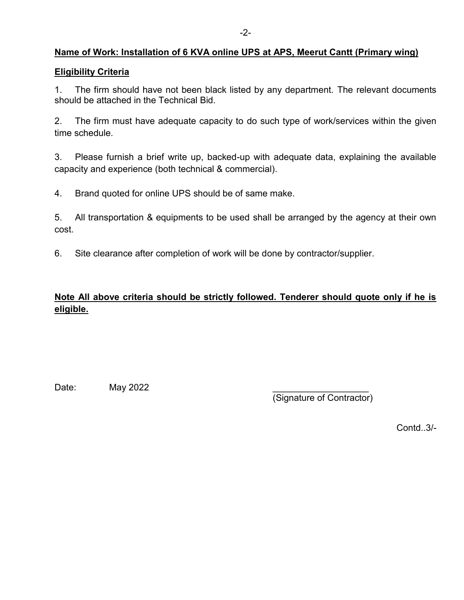## **Name of Work: Installation of 6 KVA online UPS at APS, Meerut Cantt (Primary wing)**

#### **Eligibility Criteria**

1. The firm should have not been black listed by any department. The relevant documents should be attached in the Technical Bid.

2. The firm must have adequate capacity to do such type of work/services within the given time schedule.

3. Please furnish a brief write up, backed-up with adequate data, explaining the available capacity and experience (both technical & commercial).

4. Brand quoted for online UPS should be of same make.

5. All transportation & equipments to be used shall be arranged by the agency at their own cost.

6. Site clearance after completion of work will be done by contractor/supplier.

# **Note All above criteria should be strictly followed. Tenderer should quote only if he is eligible.**

Date: **May 2022** 

(Signature of Contractor)

Contd..3/-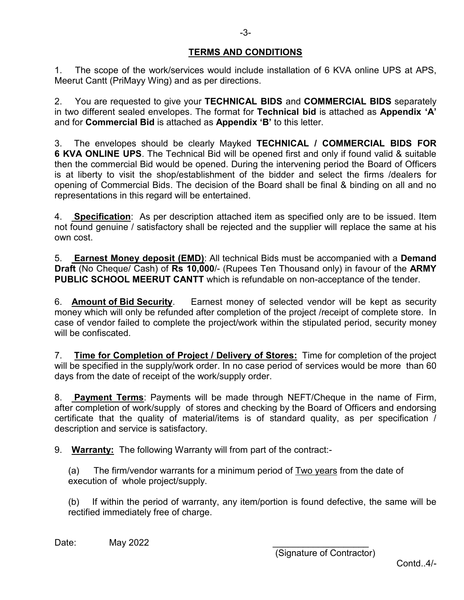## **TERMS AND CONDITIONS**

1. The scope of the work/services would include installation of 6 KVA online UPS at APS, Meerut Cantt (PriMayy Wing) and as per directions.

2. You are requested to give your **TECHNICAL BIDS** and **COMMERCIAL BIDS** separately in two different sealed envelopes. The format for **Technical bid** is attached as **Appendix 'A'** and for **Commercial Bid** is attached as **Appendix 'B'** to this letter.

3. The envelopes should be clearly Mayked **TECHNICAL / COMMERCIAL BIDS FOR 6 KVA ONLINE UPS**. The Technical Bid will be opened first and only if found valid & suitable then the commercial Bid would be opened. During the intervening period the Board of Officers is at liberty to visit the shop/establishment of the bidder and select the firms /dealers for opening of Commercial Bids. The decision of the Board shall be final & binding on all and no representations in this regard will be entertained.

4. **Specification**: As per description attached item as specified only are to be issued. Item not found genuine / satisfactory shall be rejected and the supplier will replace the same at his own cost.

5. **Earnest Money deposit (EMD)**: All technical Bids must be accompanied with a **Demand Draft** (No Cheque/ Cash) of **Rs 10,000**/- (Rupees Ten Thousand only) in favour of the **ARMY PUBLIC SCHOOL MEERUT CANTT** which is refundable on non-acceptance of the tender.

6. **Amount of Bid Security**. Earnest money of selected vendor will be kept as security money which will only be refunded after completion of the project /receipt of complete store. In case of vendor failed to complete the project/work within the stipulated period, security money will be confiscated.

7. **Time for Completion of Project / Delivery of Stores:** Time for completion of the project will be specified in the supply/work order. In no case period of services would be more than 60 days from the date of receipt of the work/supply order.

8. **Payment Terms**: Payments will be made through NEFT/Cheque in the name of Firm, after completion of work/supply of stores and checking by the Board of Officers and endorsing certificate that the quality of material/items is of standard quality, as per specification / description and service is satisfactory.

9. **Warranty:** The following Warranty will from part of the contract:-

(a) The firm/vendor warrants for a minimum period of  $Two\ years$  from the date of execution of whole project/supply.

(b) If within the period of warranty, any item/portion is found defective, the same will be rectified immediately free of charge.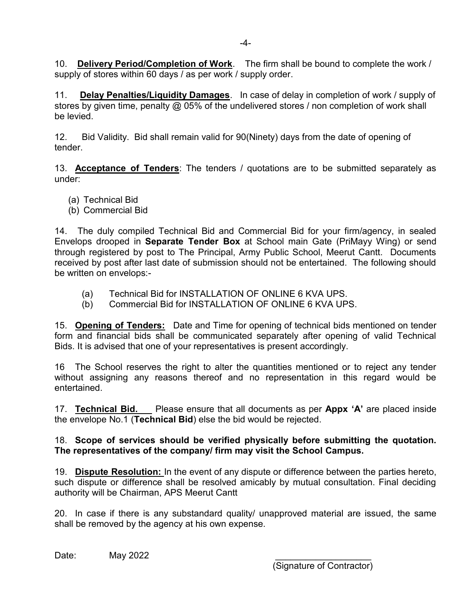10. **Delivery Period/Completion of Work**. The firm shall be bound to complete the work / supply of stores within 60 days / as per work / supply order.

11. **Delay Penalties/Liquidity Damages**. In case of delay in completion of work / supply of stores by given time, penalty @ 05% of the undelivered stores / non completion of work shall be levied.

12. Bid Validity. Bid shall remain valid for 90(Ninety) days from the date of opening of tender.

13. **Acceptance of Tenders**: The tenders / quotations are to be submitted separately as under:

- (a) Technical Bid
- (b) Commercial Bid

14. The duly compiled Technical Bid and Commercial Bid for your firm/agency, in sealed Envelops drooped in **Separate Tender Box** at School main Gate (PriMayy Wing) or send through registered by post to The Principal, Army Public School, Meerut Cantt. Documents received by post after last date of submission should not be entertained. The following should be written on envelops:-

- (a) Technical Bid for INSTALLATION OF ONLINE 6 KVA UPS.
- (b) Commercial Bid for INSTALLATION OF ONLINE 6 KVA UPS.

15. **Opening of Tenders:** Date and Time for opening of technical bids mentioned on tender form and financial bids shall be communicated separately after opening of valid Technical Bids. It is advised that one of your representatives is present accordingly.

16 The School reserves the right to alter the quantities mentioned or to reject any tender without assigning any reasons thereof and no representation in this regard would be entertained.

17. **Technical Bid.** Please ensure that all documents as per **Appx 'A'** are placed inside the envelope No.1 (**Technical Bid**) else the bid would be rejected.

## 18. **Scope of services should be verified physically before submitting the quotation. The representatives of the company/ firm may visit the School Campus.**

19. **Dispute Resolution:** In the event of any dispute or difference between the parties hereto, such dispute or difference shall be resolved amicably by mutual consultation. Final deciding authority will be Chairman, APS Meerut Cantt

20. In case if there is any substandard quality/ unapproved material are issued, the same shall be removed by the agency at his own expense.

Date: **May 2022**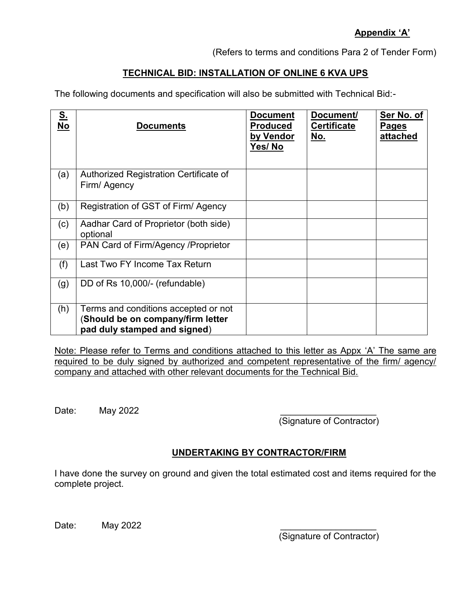## **Appendix 'A'**

(Refers to terms and conditions Para 2 of Tender Form)

## **TECHNICAL BID: INSTALLATION OF ONLINE 6 KVA UPS**

The following documents and specification will also be submitted with Technical Bid:-

| S.<br>No | <b>Documents</b>                                                                                          | <b>Document</b><br><b>Produced</b><br>by Vendor<br>Yes/No | Document/<br><b>Certificate</b><br><u>No.</u> | Ser No. of<br><b>Pages</b><br>attached |
|----------|-----------------------------------------------------------------------------------------------------------|-----------------------------------------------------------|-----------------------------------------------|----------------------------------------|
| (a)      | Authorized Registration Certificate of<br>Firm/ Agency                                                    |                                                           |                                               |                                        |
| (b)      | Registration of GST of Firm/Agency                                                                        |                                                           |                                               |                                        |
| (c)      | Aadhar Card of Proprietor (both side)<br>optional                                                         |                                                           |                                               |                                        |
| (e)      | PAN Card of Firm/Agency / Proprietor                                                                      |                                                           |                                               |                                        |
| (f)      | Last Two FY Income Tax Return                                                                             |                                                           |                                               |                                        |
| (g)      | DD of Rs 10,000/- (refundable)                                                                            |                                                           |                                               |                                        |
| (h)      | Terms and conditions accepted or not<br>(Should be on company/firm letter<br>pad duly stamped and signed) |                                                           |                                               |                                        |

Note: Please refer to Terms and conditions attached to this letter as Appx 'A' The same are required to be duly signed by authorized and competent representative of the firm/ agency/ company and attached with other relevant documents for the Technical Bid.

Date: **May 2022** 

(Signature of Contractor)

## **UNDERTAKING BY CONTRACTOR/FIRM**

I have done the survey on ground and given the total estimated cost and items required for the complete project.

Date: **May 2022**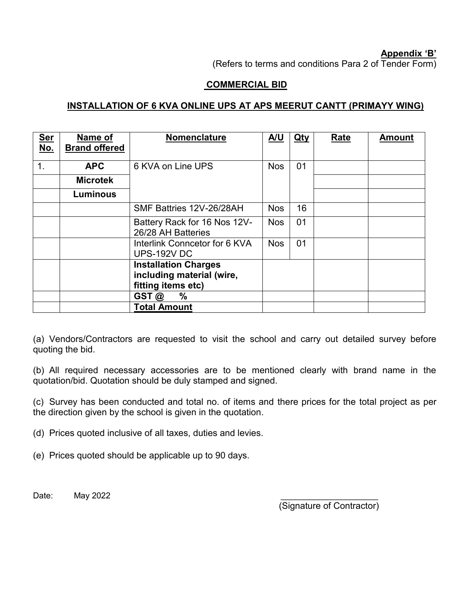#### **Appendix 'B'**

(Refers to terms and conditions Para 2 of Tender Form)

## **COMMERCIAL BID**

## **INSTALLATION OF 6 KVA ONLINE UPS AT APS MEERUT CANTT (PRIMAYY WING)**

| <b>Ser</b><br><u>No.</u> | Name of<br><b>Brand offered</b> | Nomenclature                                                                                   | A/U        | $Q$ ty | Rate | <b>Amount</b> |
|--------------------------|---------------------------------|------------------------------------------------------------------------------------------------|------------|--------|------|---------------|
| 1.                       | <b>APC</b>                      | 6 KVA on Line UPS                                                                              | <b>Nos</b> | 01     |      |               |
|                          | <b>Microtek</b>                 |                                                                                                |            |        |      |               |
|                          | <b>Luminous</b>                 |                                                                                                |            |        |      |               |
|                          |                                 | SMF Battries 12V-26/28AH                                                                       | <b>Nos</b> | 16     |      |               |
|                          |                                 | Battery Rack for 16 Nos 12V-<br>26/28 AH Batteries                                             | <b>Nos</b> | 01     |      |               |
|                          |                                 | Interlink Conncetor for 6 KVA<br><b>UPS-192V DC</b>                                            | <b>Nos</b> | 01     |      |               |
|                          |                                 | <b>Installation Charges</b><br>including material (wire,<br>fitting items etc)<br>$\%$<br>GST@ |            |        |      |               |
|                          |                                 | <b>Total Amount</b>                                                                            |            |        |      |               |

(a) Vendors/Contractors are requested to visit the school and carry out detailed survey before quoting the bid.

(b) All required necessary accessories are to be mentioned clearly with brand name in the quotation/bid. Quotation should be duly stamped and signed.

(c) Survey has been conducted and total no. of items and there prices for the total project as per the direction given by the school is given in the quotation.

(d) Prices quoted inclusive of all taxes, duties and levies.

(e) Prices quoted should be applicable up to 90 days.

Date: **May 2022**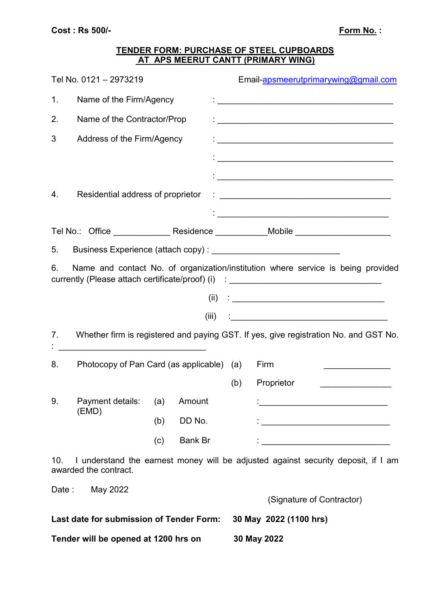## **TENDER FORM: PURCHASE OF STEEL CUPBOARDS AT APS MEERUT CANTT (PRIMARY WING)**

|                | Tel No. 0121 - 2973219                                                                                               |     |         |     | Email-apsmeerutprimarywing@gmail.com                                                                                                                                 |  |
|----------------|----------------------------------------------------------------------------------------------------------------------|-----|---------|-----|----------------------------------------------------------------------------------------------------------------------------------------------------------------------|--|
| 1.             | Name of the Firm/Agency                                                                                              |     |         |     | .<br>• <u>———————————————————————————————</u>                                                                                                                        |  |
| 2.             | Name of the Contractor/Prop                                                                                          |     |         |     |                                                                                                                                                                      |  |
| 3              | Address of the Firm/Agency                                                                                           |     |         |     |                                                                                                                                                                      |  |
|                |                                                                                                                      |     |         |     |                                                                                                                                                                      |  |
|                |                                                                                                                      |     |         |     |                                                                                                                                                                      |  |
| 4.             | Residential address of proprietor                                                                                    |     |         |     |                                                                                                                                                                      |  |
|                |                                                                                                                      |     |         |     |                                                                                                                                                                      |  |
|                |                                                                                                                      |     |         |     | Tel No.: Office _________________Residence _____________Mobile _________________                                                                                     |  |
| 5.             |                                                                                                                      |     |         |     |                                                                                                                                                                      |  |
| 6.             |                                                                                                                      |     |         |     | Name and contact No. of organization/institution where service is being provided<br>currently (Please attach certificate/proof) (i) : ______________________________ |  |
|                |                                                                                                                      |     | (ii)    |     |                                                                                                                                                                      |  |
|                |                                                                                                                      |     | (iii)   |     | <u> 1989 - Johann John Stein, mars an deus Frankrik (f. 1988)</u>                                                                                                    |  |
| 7 <sub>1</sub> |                                                                                                                      |     |         |     | Whether firm is registered and paying GST. If yes, give registration No. and GST No.                                                                                 |  |
|                | <u> 1989 - Johann John Stone, mars eta bainar eta baina eta baina eta baina eta baina eta baina eta baina eta ba</u> |     |         |     |                                                                                                                                                                      |  |
| 8.             | Photocopy of Pan Card (as applicable) (a)                                                                            |     |         |     | Firm                                                                                                                                                                 |  |
|                |                                                                                                                      |     |         | (b) | Proprietor                                                                                                                                                           |  |
| 9.             | Payment details:<br>(EMD)                                                                                            | (a) | Amount  |     |                                                                                                                                                                      |  |
|                |                                                                                                                      | (b) | DD No.  |     |                                                                                                                                                                      |  |
|                |                                                                                                                      | (c) | Bank Br |     |                                                                                                                                                                      |  |
| 10.            | awarded the contract.                                                                                                |     |         |     | I understand the earnest money will be adjusted against security deposit, if I am                                                                                    |  |
|                | Date: May 2022                                                                                                       |     |         |     |                                                                                                                                                                      |  |
|                |                                                                                                                      |     |         |     | (Signature of Contractor)                                                                                                                                            |  |
|                | Last date for submission of Tender Form:                                                                             |     |         |     | 30 May 2022 (1100 hrs)                                                                                                                                               |  |
|                | Tender will be opened at 1200 hrs on                                                                                 |     |         |     | 30 May 2022                                                                                                                                                          |  |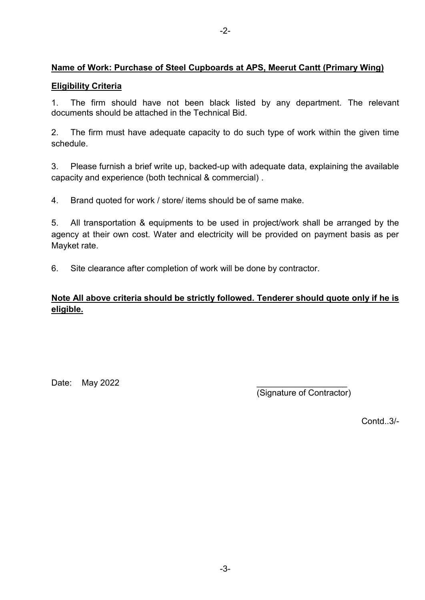## **Name of Work: Purchase of Steel Cupboards at APS, Meerut Cantt (Primary Wing)**

## **Eligibility Criteria**

1. The firm should have not been black listed by any department. The relevant documents should be attached in the Technical Bid.

2. The firm must have adequate capacity to do such type of work within the given time schedule.

3. Please furnish a brief write up, backed-up with adequate data, explaining the available capacity and experience (both technical & commercial) .

4. Brand quoted for work / store/ items should be of same make.

5. All transportation & equipments to be used in project/work shall be arranged by the agency at their own cost. Water and electricity will be provided on payment basis as per Mayket rate.

6. Site clearance after completion of work will be done by contractor.

# **Note All above criteria should be strictly followed. Tenderer should quote only if he is eligible.**

Date: May 2022

(Signature of Contractor)

Contd..3/-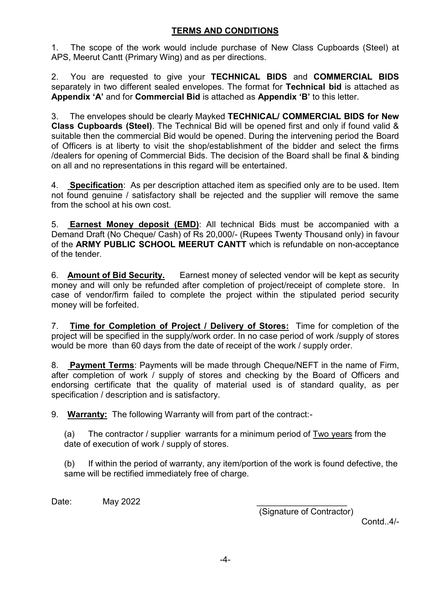## **TERMS AND CONDITIONS**

1. The scope of the work would include purchase of New Class Cupboards (Steel) at APS, Meerut Cantt (Primary Wing) and as per directions.

2. You are requested to give your **TECHNICAL BIDS** and **COMMERCIAL BIDS** separately in two different sealed envelopes. The format for **Technical bid** is attached as **Appendix 'A'** and for **Commercial Bid** is attached as **Appendix 'B'** to this letter.

3. The envelopes should be clearly Mayked **TECHNICAL/ COMMERCIAL BIDS for New Class Cupboards (Steel)**. The Technical Bid will be opened first and only if found valid & suitable then the commercial Bid would be opened. During the intervening period the Board of Officers is at liberty to visit the shop/establishment of the bidder and select the firms /dealers for opening of Commercial Bids. The decision of the Board shall be final & binding on all and no representations in this regard will be entertained.

4. **Specification**: As per description attached item as specified only are to be used. Item not found genuine / satisfactory shall be rejected and the supplier will remove the same from the school at his own cost.

5. **Earnest Money deposit (EMD)**: All technical Bids must be accompanied with a Demand Draft (No Cheque/ Cash) of Rs 20,000/- (Rupees Twenty Thousand only) in favour of the **ARMY PUBLIC SCHOOL MEERUT CANTT** which is refundable on non-acceptance of the tender.

6. **Amount of Bid Security.** Earnest money of selected vendor will be kept as security money and will only be refunded after completion of project/receipt of complete store. In case of vendor/firm failed to complete the project within the stipulated period security money will be forfeited.

7. **Time for Completion of Project / Delivery of Stores:** Time for completion of the project will be specified in the supply/work order. In no case period of work /supply of stores would be more than 60 days from the date of receipt of the work / supply order.

8. **Payment Terms**: Payments will be made through Cheque/NEFT in the name of Firm, after completion of work / supply of stores and checking by the Board of Officers and endorsing certificate that the quality of material used is of standard quality, as per specification / description and is satisfactory.

9. **Warranty:** The following Warranty will from part of the contract:-

(a) The contractor / supplier warrants for a minimum period of Two years from the date of execution of work / supply of stores.

(b) If within the period of warranty, any item/portion of the work is found defective, the same will be rectified immediately free of charge.

Date: **May 2022** 

(Signature of Contractor)

Contd..4/-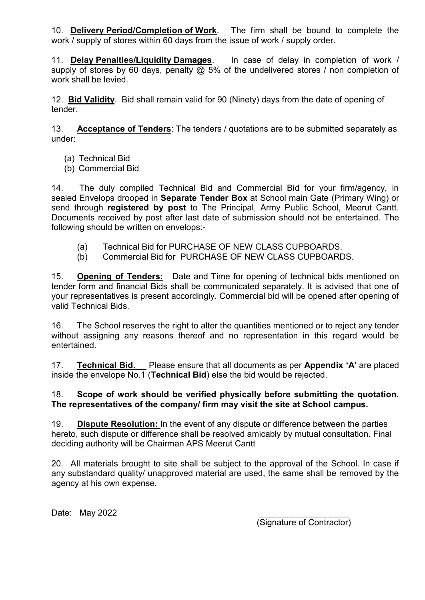10. **Delivery Period/Completion of Work**. The firm shall be bound to complete the work / supply of stores within 60 days from the issue of work / supply order.

11. **Delay Penalties/Liquidity Damages**. In case of delay in completion of work / supply of stores by 60 days, penalty  $\overline{\omega}$  5% of the undelivered stores / non completion of work shall be levied.

12. **Bid Validity**. Bid shall remain valid for 90 (Ninety) days from the date of opening of tender.

13. **Acceptance of Tenders**: The tenders / quotations are to be submitted separately as under:

- (a) Technical Bid
- (b) Commercial Bid

14. The duly compiled Technical Bid and Commercial Bid for your firm/agency, in sealed Envelops drooped in **Separate Tender Box** at School main Gate (Primary Wing) or send through **registered by post** to The Principal, Army Public School, Meerut Cantt. Documents received by post after last date of submission should not be entertained. The following should be written on envelops:-

- (a) Technical Bid for PURCHASE OF NEW CLASS CUPBOARDS.
- (b) Commercial Bid for PURCHASE OF NEW CLASS CUPBOARDS.

15. **Opening of Tenders:** Date and Time for opening of technical bids mentioned on tender form and financial Bids shall be communicated separately. It is advised that one of your representatives is present accordingly. Commercial bid will be opened after opening of valid Technical Bids.

16. The School reserves the right to alter the quantities mentioned or to reject any tender without assigning any reasons thereof and no representation in this regard would be entertained.

17. **Technical Bid.** Please ensure that all documents as per **Appendix 'A'** are placed inside the envelope No.1 (**Technical Bid**) else the bid would be rejected.

#### 18. **Scope of work should be verified physically before submitting the quotation. The representatives of the company/ firm may visit the site at School campus.**

19. **Dispute Resolution:** In the event of any dispute or difference between the parties hereto, such dispute or difference shall be resolved amicably by mutual consultation. Final deciding authority will be Chairman APS Meerut Cantt

20. All materials brought to site shall be subject to the approval of the School. In case if any substandard quality/ unapproved material are used, the same shall be removed by the agency at his own expense.

Date: May 2022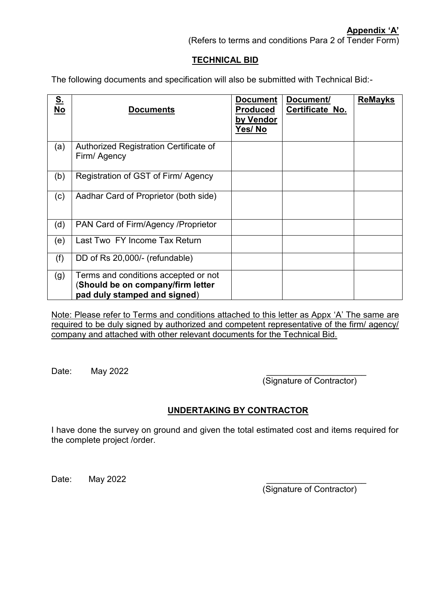(Refers to terms and conditions Para 2 of Tender Form)

#### **TECHNICAL BID**

The following documents and specification will also be submitted with Technical Bid:-

| S.<br>No | <b>Documents</b>                                                                                          | <b>Document</b><br><b>Produced</b><br>by Vendor<br>Yes/No | Document/<br>Certificate No. | <b>ReMayks</b> |
|----------|-----------------------------------------------------------------------------------------------------------|-----------------------------------------------------------|------------------------------|----------------|
| (a)      | Authorized Registration Certificate of<br>Firm/ Agency                                                    |                                                           |                              |                |
| (b)      | Registration of GST of Firm/Agency                                                                        |                                                           |                              |                |
| (c)      | Aadhar Card of Proprietor (both side)                                                                     |                                                           |                              |                |
| (d)      | PAN Card of Firm/Agency / Proprietor                                                                      |                                                           |                              |                |
| (e)      | Last Two FY Income Tax Return                                                                             |                                                           |                              |                |
| (f)      | DD of Rs 20,000/- (refundable)                                                                            |                                                           |                              |                |
| (g)      | Terms and conditions accepted or not<br>(Should be on company/firm letter<br>pad duly stamped and signed) |                                                           |                              |                |

Note: Please refer to Terms and conditions attached to this letter as Appx 'A' The same are required to be duly signed by authorized and competent representative of the firm/ agency/ company and attached with other relevant documents for the Technical Bid.

Date: **May 2022** 

(Signature of Contractor)

#### **UNDERTAKING BY CONTRACTOR**

I have done the survey on ground and given the total estimated cost and items required for the complete project /order.

Date: May 2022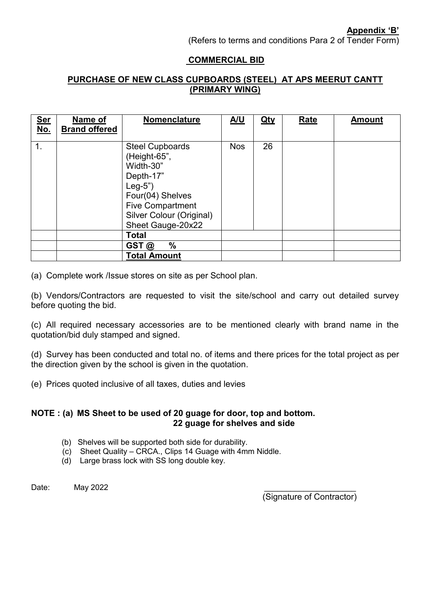**Appendix 'B'**

(Refers to terms and conditions Para 2 of Tender Form)

## **COMMERCIAL BID**

## **PURCHASE OF NEW CLASS CUPBOARDS (STEEL) AT APS MEERUT CANTT (PRIMARY WING)**

| <u>Ser</u><br><u>No.</u> | Name of<br><b>Brand offered</b> | Nomenclature                                                                                                                                                                 | <u>A/U</u> | <u>Qty</u> | <b>Rate</b> | <b>Amount</b> |
|--------------------------|---------------------------------|------------------------------------------------------------------------------------------------------------------------------------------------------------------------------|------------|------------|-------------|---------------|
| 1.                       |                                 | <b>Steel Cupboards</b><br>(Height-65",<br>Width-30"<br>Depth-17"<br>$Leg-5"$<br>Four(04) Shelves<br><b>Five Compartment</b><br>Silver Colour (Original)<br>Sheet Gauge-20x22 | <b>Nos</b> | 26         |             |               |
|                          |                                 | <b>Total</b>                                                                                                                                                                 |            |            |             |               |
|                          |                                 | %<br>GST@                                                                                                                                                                    |            |            |             |               |
|                          |                                 | <b>Total Amount</b>                                                                                                                                                          |            |            |             |               |

(a) Complete work /Issue stores on site as per School plan.

(b) Vendors/Contractors are requested to visit the site/school and carry out detailed survey before quoting the bid.

(c) All required necessary accessories are to be mentioned clearly with brand name in the quotation/bid duly stamped and signed.

(d) Survey has been conducted and total no. of items and there prices for the total project as per the direction given by the school is given in the quotation.

(e) Prices quoted inclusive of all taxes, duties and levies

#### **NOTE : (a) MS Sheet to be used of 20 guage for door, top and bottom. 22 guage for shelves and side**

- (b) Shelves will be supported both side for durability.
- (c) Sheet Quality CRCA., Clips 14 Guage with 4mm Niddle.
- (d) Large brass lock with SS long double key.

Date: May 2022 \_\_\_\_\_\_\_\_\_\_\_\_\_\_\_\_\_\_\_\_\_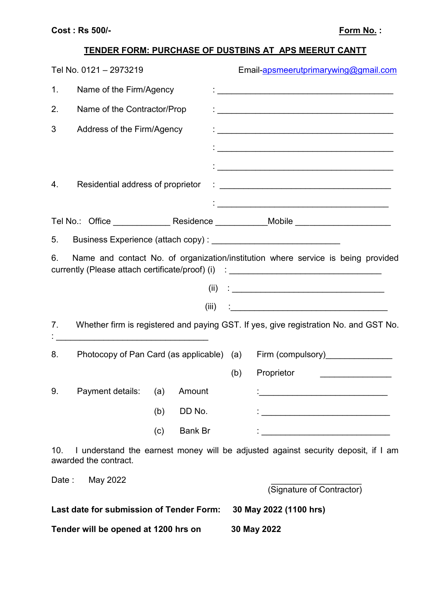# **TENDER FORM: PURCHASE OF DUSTBINS AT APS MEERUT CANTT**

|                | Tel No. 0121 - 2973219                                                                                                |     |                |     | Email-apsmeerutprimarywing@gmail.com                                                                                                                                                                                              |
|----------------|-----------------------------------------------------------------------------------------------------------------------|-----|----------------|-----|-----------------------------------------------------------------------------------------------------------------------------------------------------------------------------------------------------------------------------------|
| 1 <sub>1</sub> | Name of the Firm/Agency                                                                                               |     |                |     | .<br>• <u>————————————————————————————————</u>                                                                                                                                                                                    |
| 2.             | Name of the Contractor/Prop                                                                                           |     |                |     |                                                                                                                                                                                                                                   |
| 3              | Address of the Firm/Agency                                                                                            |     |                |     |                                                                                                                                                                                                                                   |
|                |                                                                                                                       |     |                |     |                                                                                                                                                                                                                                   |
|                |                                                                                                                       |     |                |     |                                                                                                                                                                                                                                   |
| 4.             | Residential address of proprietor                                                                                     |     |                |     |                                                                                                                                                                                                                                   |
|                |                                                                                                                       |     |                |     |                                                                                                                                                                                                                                   |
|                |                                                                                                                       |     |                |     | Tel No.: Office ________________ Residence ____________Mobile __________________                                                                                                                                                  |
| 5.             |                                                                                                                       |     |                |     |                                                                                                                                                                                                                                   |
| 6.             |                                                                                                                       |     |                |     | Name and contact No. of organization/institution where service is being provided<br>currently (Please attach certificate/proof) (i) : ______________________________                                                              |
|                |                                                                                                                       |     | (ii)           |     | $\frac{1}{2}$ . The contract of the contract of the contract of the contract of the contract of the contract of the contract of the contract of the contract of the contract of the contract of the contract of the contract of t |
|                |                                                                                                                       |     | (iii)          |     |                                                                                                                                                                                                                                   |
| 7.             | <u> 1990 - Johann John Stone, mars eta bainar eta baina eta erromania eta baina eta baina eta baina eta baina eta</u> |     |                |     | Whether firm is registered and paying GST. If yes, give registration No. and GST No.                                                                                                                                              |
| 8.             |                                                                                                                       |     |                |     | Photocopy of Pan Card (as applicable) (a) Firm (compulsory) ______________                                                                                                                                                        |
|                |                                                                                                                       |     |                | (b) | Proprietor<br><u> 1989 - Johann John Stone, mars et al. 1989 - John Stone, mars et al. 1989 - John Stone, mars et al. 1989 - John Stone</u>                                                                                       |
| 9.             | Payment details:                                                                                                      | (a) | Amount         |     | <u> 1990 - Johann John Stone, mars eta bainar eta industrial eta erromana eta erromana eta erromana eta erromana</u>                                                                                                              |
|                |                                                                                                                       | (b) | DD No.         |     |                                                                                                                                                                                                                                   |
|                |                                                                                                                       | (c) | <b>Bank Br</b> |     |                                                                                                                                                                                                                                   |
| 10.            | awarded the contract.                                                                                                 |     |                |     | I understand the earnest money will be adjusted against security deposit, if I am                                                                                                                                                 |
|                | Date: May 2022                                                                                                        |     |                |     |                                                                                                                                                                                                                                   |
|                |                                                                                                                       |     |                |     | (Signature of Contractor)                                                                                                                                                                                                         |
|                | Last date for submission of Tender Form:                                                                              |     |                |     | 30 May 2022 (1100 hrs)                                                                                                                                                                                                            |
|                | Tender will be opened at 1200 hrs on                                                                                  |     |                |     | 30 May 2022                                                                                                                                                                                                                       |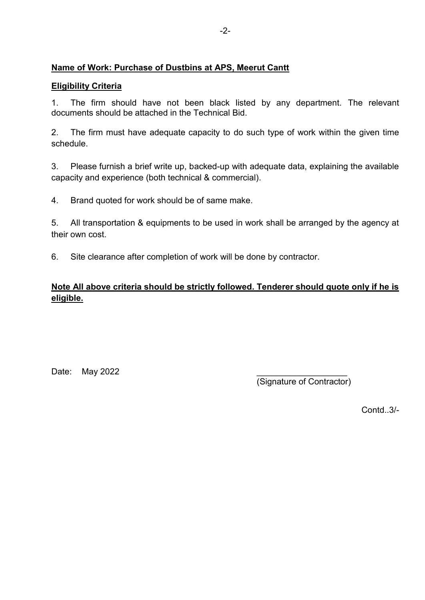## **Name of Work: Purchase of Dustbins at APS, Meerut Cantt**

## **Eligibility Criteria**

1. The firm should have not been black listed by any department. The relevant documents should be attached in the Technical Bid.

2. The firm must have adequate capacity to do such type of work within the given time schedule.

3. Please furnish a brief write up, backed-up with adequate data, explaining the available capacity and experience (both technical & commercial).

4. Brand quoted for work should be of same make.

5. All transportation & equipments to be used in work shall be arranged by the agency at their own cost.

6. Site clearance after completion of work will be done by contractor.

# **Note All above criteria should be strictly followed. Tenderer should quote only if he is eligible.**

Date: May 2022

(Signature of Contractor)

Contd..3/-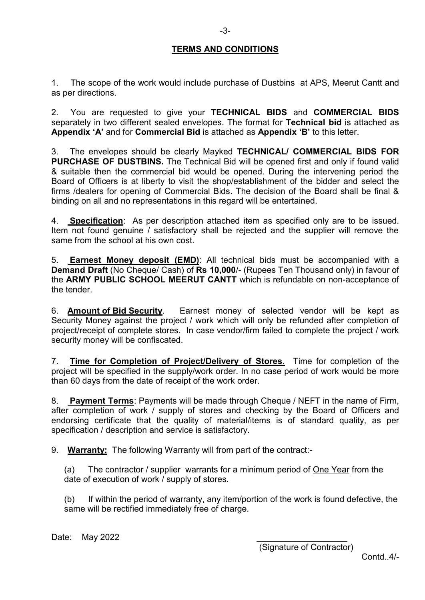#### **TERMS AND CONDITIONS**

1. The scope of the work would include purchase of Dustbins at APS, Meerut Cantt and as per directions.

2. You are requested to give your **TECHNICAL BIDS** and **COMMERCIAL BIDS** separately in two different sealed envelopes. The format for **Technical bid** is attached as **Appendix 'A'** and for **Commercial Bid** is attached as **Appendix 'B'** to this letter.

3. The envelopes should be clearly Mayked **TECHNICAL/ COMMERCIAL BIDS FOR PURCHASE OF DUSTBINS.** The Technical Bid will be opened first and only if found valid & suitable then the commercial bid would be opened. During the intervening period the Board of Officers is at liberty to visit the shop/establishment of the bidder and select the firms /dealers for opening of Commercial Bids. The decision of the Board shall be final & binding on all and no representations in this regard will be entertained.

4. **Specification**: As per description attached item as specified only are to be issued. Item not found genuine / satisfactory shall be rejected and the supplier will remove the same from the school at his own cost.

5. **Earnest Money deposit (EMD)**: All technical bids must be accompanied with a **Demand Draft** (No Cheque/ Cash) of **Rs 10,000**/- (Rupees Ten Thousand only) in favour of the **ARMY PUBLIC SCHOOL MEERUT CANTT** which is refundable on non-acceptance of the tender.

6. **Amount of Bid Security**. Earnest money of selected vendor will be kept as Security Money against the project / work which will only be refunded after completion of project/receipt of complete stores. In case vendor/firm failed to complete the project / work security money will be confiscated.

7. **Time for Completion of Project/Delivery of Stores.** Time for completion of the project will be specified in the supply/work order. In no case period of work would be more than 60 days from the date of receipt of the work order.

8. **Payment Terms**: Payments will be made through Cheque / NEFT in the name of Firm, after completion of work / supply of stores and checking by the Board of Officers and endorsing certificate that the quality of material/items is of standard quality, as per specification / description and service is satisfactory.

9. **Warranty:** The following Warranty will from part of the contract:-

(a) The contractor / supplier warrants for a minimum period of One Year from the date of execution of work / supply of stores.

(b) If within the period of warranty, any item/portion of the work is found defective, the same will be rectified immediately free of charge.

Date: May 2022

(Signature of Contractor)

Contd..4/-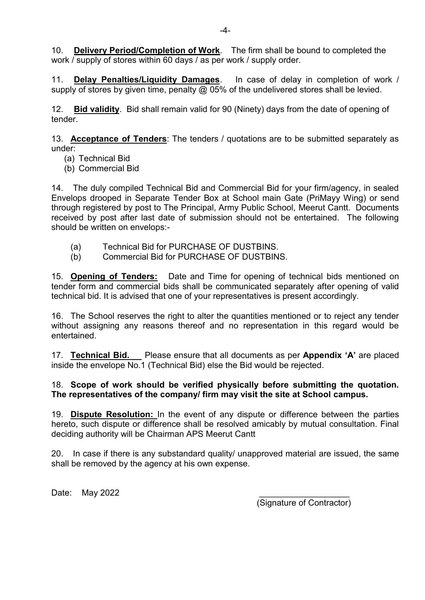10. **Delivery Period/Completion of Work**. The firm shall be bound to completed the work / supply of stores within 60 days / as per work / supply order.

11. **Delay Penalties/Liquidity Damages**. In case of delay in completion of work / supply of stores by given time, penalty  $@$  05% of the undelivered stores shall be levied.

12. **Bid validity**. Bid shall remain valid for 90 (Ninety) days from the date of opening of tender.

13. **Acceptance of Tenders**: The tenders / quotations are to be submitted separately as under:

- (a) Technical Bid
- (b) Commercial Bid

14. The duly compiled Technical Bid and Commercial Bid for your firm/agency, in sealed Envelops drooped in Separate Tender Box at School main Gate (PriMayy Wing) or send through registered by post to The Principal, Army Public School, Meerut Cantt. Documents received by post after last date of submission should not be entertained. The following should be written on envelops:-

- (a) Technical Bid for PURCHASE OF DUSTBINS.
- (b) Commercial Bid for PURCHASE OF DUSTBINS.

15. **Opening of Tenders:** Date and Time for opening of technical bids mentioned on tender form and commercial bids shall be communicated separately after opening of valid technical bid. It is advised that one of your representatives is present accordingly.

16. The School reserves the right to alter the quantities mentioned or to reject any tender without assigning any reasons thereof and no representation in this regard would be entertained.

17. **Technical Bid.** Please ensure that all documents as per **Appendix 'A'** are placed inside the envelope No.1 (Technical Bid) else the Bid would be rejected.

#### 18. **Scope of work should be verified physically before submitting the quotation. The representatives of the company/ firm may visit the site at School campus.**

19. **Dispute Resolution:** In the event of any dispute or difference between the parties hereto, such dispute or difference shall be resolved amicably by mutual consultation. Final deciding authority will be Chairman APS Meerut Cantt

20. In case if there is any substandard quality/ unapproved material are issued, the same shall be removed by the agency at his own expense.

Date: May 2022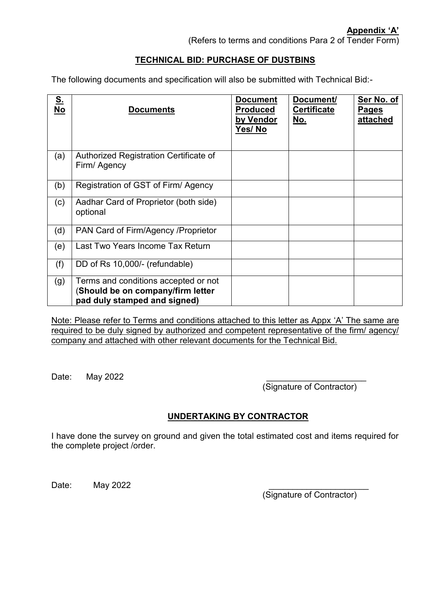# **TECHNICAL BID: PURCHASE OF DUSTBINS**

The following documents and specification will also be submitted with Technical Bid:-

| S.<br>No | <b>Documents</b>                                                                                          | <b>Document</b><br><b>Produced</b><br>by Vendor<br><u>Yes/ No</u> | Document/<br><b>Certificate</b><br><u>No.</u> | Ser No. of<br><b>Pages</b><br>attached |
|----------|-----------------------------------------------------------------------------------------------------------|-------------------------------------------------------------------|-----------------------------------------------|----------------------------------------|
| (a)      | Authorized Registration Certificate of<br>Firm/ Agency                                                    |                                                                   |                                               |                                        |
| (b)      | Registration of GST of Firm/Agency                                                                        |                                                                   |                                               |                                        |
| (c)      | Aadhar Card of Proprietor (both side)<br>optional                                                         |                                                                   |                                               |                                        |
| (d)      | PAN Card of Firm/Agency / Proprietor                                                                      |                                                                   |                                               |                                        |
| (e)      | Last Two Years Income Tax Return                                                                          |                                                                   |                                               |                                        |
| (f)      | DD of Rs 10,000/- (refundable)                                                                            |                                                                   |                                               |                                        |
| (g)      | Terms and conditions accepted or not<br>(Should be on company/firm letter<br>pad duly stamped and signed) |                                                                   |                                               |                                        |

Note: Please refer to Terms and conditions attached to this letter as Appx 'A' The same are required to be duly signed by authorized and competent representative of the firm/ agency/ company and attached with other relevant documents for the Technical Bid.

Date: May 2022

(Signature of Contractor)

# **UNDERTAKING BY CONTRACTOR**

I have done the survey on ground and given the total estimated cost and items required for the complete project /order.

Date: **May 2022**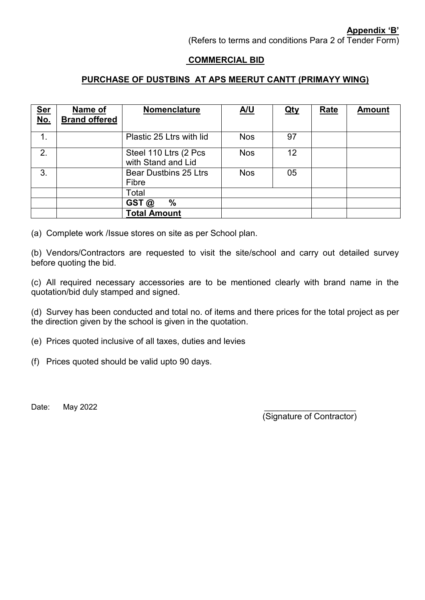**Appendix 'B'**

(Refers to terms and conditions Para 2 of Tender Form)

#### **COMMERCIAL BID**

## **PURCHASE OF DUSTBINS AT APS MEERUT CANTT (PRIMAYY WING)**

| Ser<br>No.    | Name of<br><b>Brand offered</b> | <b>Nomenclature</b>                         | <u>A/U</u> | <u>Qty</u> | <b>Rate</b> | <b>Amount</b> |
|---------------|---------------------------------|---------------------------------------------|------------|------------|-------------|---------------|
| $\mathbf 1$ . |                                 | Plastic 25 Ltrs with lid                    | <b>Nos</b> | 97         |             |               |
| 2.            |                                 | Steel 110 Ltrs (2 Pcs<br>with Stand and Lid | <b>Nos</b> | 12         |             |               |
| 3.            |                                 | <b>Bear Dustbins 25 Ltrs</b><br>Fibre       | <b>Nos</b> | 05         |             |               |
|               |                                 | Total                                       |            |            |             |               |
|               |                                 | %<br>GST @                                  |            |            |             |               |
|               |                                 | <b>Total Amount</b>                         |            |            |             |               |

(a) Complete work /Issue stores on site as per School plan.

(b) Vendors/Contractors are requested to visit the site/school and carry out detailed survey before quoting the bid.

(c) All required necessary accessories are to be mentioned clearly with brand name in the quotation/bid duly stamped and signed.

(d) Survey has been conducted and total no. of items and there prices for the total project as per the direction given by the school is given in the quotation.

- (e) Prices quoted inclusive of all taxes, duties and levies
- (f) Prices quoted should be valid upto 90 days.

Date: May 2022 \_\_\_\_\_\_\_\_\_\_\_\_\_\_\_\_\_\_\_\_\_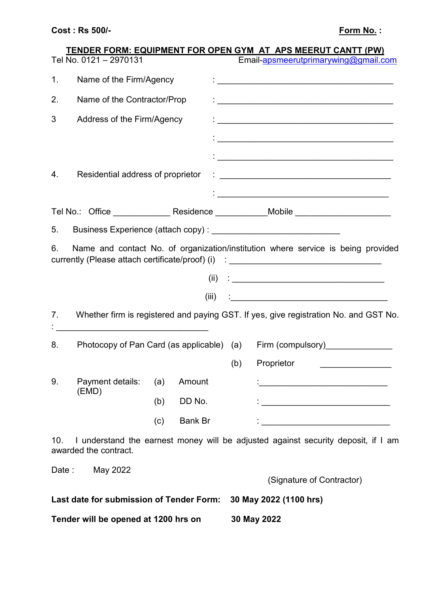# **TENDER FORM: EQUIPMENT FOR OPEN GYM AT APS MEERUT CANTT (PW)**  Tel No. 0121 – 2970131 Email-<u>apsmeerutprimarywing@gmail.com</u>

|                | I CI I VOI DI LE I LE LOI U I U I        |     |                |     | <u>Lindir-dipornect alphiniary wing to giniam.com</u>                                                                                                                |
|----------------|------------------------------------------|-----|----------------|-----|----------------------------------------------------------------------------------------------------------------------------------------------------------------------|
| 1 <sub>1</sub> | Name of the Firm/Agency                  |     |                |     |                                                                                                                                                                      |
| 2.             | Name of the Contractor/Prop              |     |                |     | $\mathcal{L}_{\text{intra}}$ , and the contract of the contract of the contract of $\mathcal{L}_{\text{outtra}}$                                                     |
| 3              | Address of the Firm/Agency               |     |                |     |                                                                                                                                                                      |
|                |                                          |     |                |     |                                                                                                                                                                      |
|                |                                          |     |                |     |                                                                                                                                                                      |
| 4.             | Residential address of proprietor        |     |                |     |                                                                                                                                                                      |
|                |                                          |     |                |     |                                                                                                                                                                      |
|                |                                          |     |                |     | Tel No.: Office _________________ Residence _____________Mobile ________________                                                                                     |
| 5.             |                                          |     |                |     |                                                                                                                                                                      |
| 6.             |                                          |     |                |     | Name and contact No. of organization/institution where service is being provided<br>currently (Please attach certificate/proof) (i) : ______________________________ |
|                |                                          |     |                |     |                                                                                                                                                                      |
|                |                                          |     | (iii)          |     | <u> 1980 - Jan Alexandria (h. 1980).</u>                                                                                                                             |
|                |                                          |     |                |     |                                                                                                                                                                      |
| 7.             |                                          |     |                |     | Whether firm is registered and paying GST. If yes, give registration No. and GST No.                                                                                 |
| 8.             |                                          |     |                |     | Photocopy of Pan Card (as applicable) (a) Firm (compulsory)_______________                                                                                           |
|                |                                          |     |                | (b) | Proprietor                                                                                                                                                           |
|                | 9. Payment details: (a) Amount : [10]    |     |                |     |                                                                                                                                                                      |
|                | (EMD)                                    | (b) | DD No.         |     |                                                                                                                                                                      |
|                |                                          | (c) | <b>Bank Br</b> |     | <u> 1989 - Johann John Stone, mars eta bainar eta industrial eta eta eta erroman erroman erroman erroman ez err</u>                                                  |
| 10.            | awarded the contract.                    |     |                |     | I understand the earnest money will be adjusted against security deposit, if I am                                                                                    |
|                | Date: May 2022                           |     |                |     |                                                                                                                                                                      |
|                |                                          |     |                |     | (Signature of Contractor)                                                                                                                                            |
|                | Last date for submission of Tender Form: |     |                |     | 30 May 2022 (1100 hrs)                                                                                                                                               |
|                | Tender will be opened at 1200 hrs on     |     |                |     | 30 May 2022                                                                                                                                                          |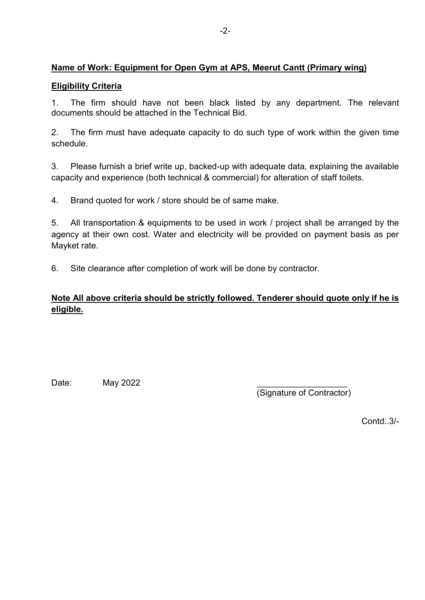# **Name of Work: Equipment for Open Gym at APS, Meerut Cantt (Primary wing)**

## **Eligibility Criteria**

1. The firm should have not been black listed by any department. The relevant documents should be attached in the Technical Bid.

2. The firm must have adequate capacity to do such type of work within the given time schedule.

3. Please furnish a brief write up, backed-up with adequate data, explaining the available capacity and experience (both technical & commercial) for alteration of staff toilets.

4. Brand quoted for work / store should be of same make.

5. All transportation & equipments to be used in work / project shall be arranged by the agency at their own cost. Water and electricity will be provided on payment basis as per Mayket rate.

6. Site clearance after completion of work will be done by contractor.

# **Note All above criteria should be strictly followed. Tenderer should quote only if he is eligible.**

Date: **May 2022** 

(Signature of Contractor)

Contd..3/-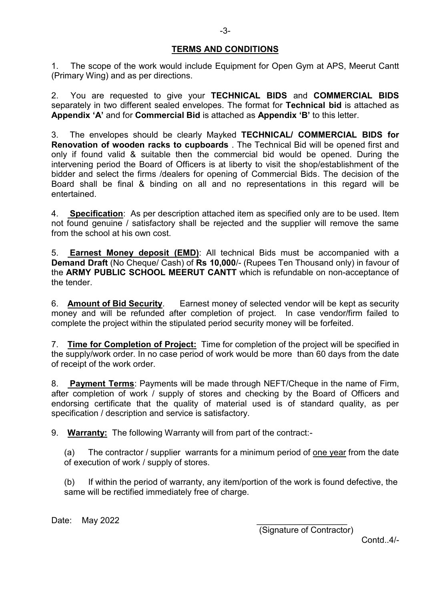#### **TERMS AND CONDITIONS**

1. The scope of the work would include Equipment for Open Gym at APS, Meerut Cantt (Primary Wing) and as per directions.

2. You are requested to give your **TECHNICAL BIDS** and **COMMERCIAL BIDS** separately in two different sealed envelopes. The format for **Technical bid** is attached as **Appendix 'A'** and for **Commercial Bid** is attached as **Appendix 'B'** to this letter.

3. The envelopes should be clearly Mayked **TECHNICAL/ COMMERCIAL BIDS for Renovation of wooden racks to cupboards** . The Technical Bid will be opened first and only if found valid & suitable then the commercial bid would be opened. During the intervening period the Board of Officers is at liberty to visit the shop/establishment of the bidder and select the firms /dealers for opening of Commercial Bids. The decision of the Board shall be final & binding on all and no representations in this regard will be entertained.

4. **Specification**: As per description attached item as specified only are to be used. Item not found genuine / satisfactory shall be rejected and the supplier will remove the same from the school at his own cost.

5. **Earnest Money deposit (EMD)**: All technical Bids must be accompanied with a **Demand Draft** (No Cheque/ Cash) of **Rs 10,000**/- (Rupees Ten Thousand only) in favour of the **ARMY PUBLIC SCHOOL MEERUT CANTT** which is refundable on non-acceptance of the tender.

6. **Amount of Bid Security**. Earnest money of selected vendor will be kept as security money and will be refunded after completion of project. In case vendor/firm failed to complete the project within the stipulated period security money will be forfeited.

7. **Time for Completion of Project:** Time for completion of the project will be specified in the supply/work order. In no case period of work would be more than 60 days from the date of receipt of the work order.

8. **Payment Terms**: Payments will be made through NEFT/Cheque in the name of Firm, after completion of work / supply of stores and checking by the Board of Officers and endorsing certificate that the quality of material used is of standard quality, as per specification / description and service is satisfactory.

9. **Warranty:** The following Warranty will from part of the contract:-

(a) The contractor / supplier warrants for a minimum period of <u>one year</u> from the date of execution of work / supply of stores.

(b) If within the period of warranty, any item/portion of the work is found defective, the same will be rectified immediately free of charge.

Date: May 2022

(Signature of Contractor)

Contd 4/-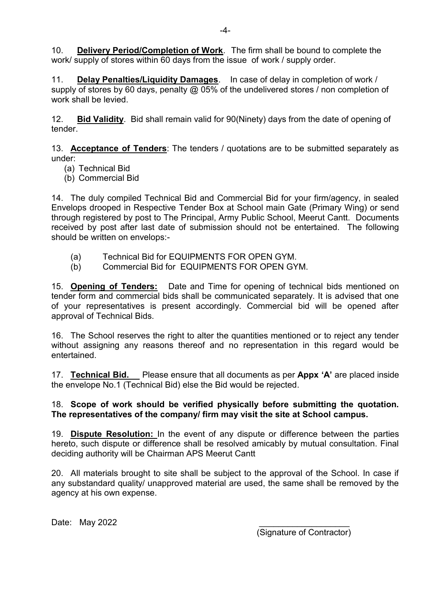10. **Delivery Period/Completion of Work**. The firm shall be bound to complete the work/ supply of stores within 60 days from the issue of work / supply order.

11. **Delay Penalties/Liquidity Damages**. In case of delay in completion of work / supply of stores by 60 days, penalty @ 05% of the undelivered stores / non completion of work shall be levied.

12. **Bid Validity**. Bid shall remain valid for 90(Ninety) days from the date of opening of tender.

13. **Acceptance of Tenders**: The tenders / quotations are to be submitted separately as under:

- (a) Technical Bid
- (b) Commercial Bid

14. The duly compiled Technical Bid and Commercial Bid for your firm/agency, in sealed Envelops drooped in Respective Tender Box at School main Gate (Primary Wing) or send through registered by post to The Principal, Army Public School, Meerut Cantt. Documents received by post after last date of submission should not be entertained. The following should be written on envelops:-

- (a) Technical Bid for EQUIPMENTS FOR OPEN GYM.
- (b) Commercial Bid for EQUIPMENTS FOR OPEN GYM.

15. **Opening of Tenders:** Date and Time for opening of technical bids mentioned on tender form and commercial bids shall be communicated separately. It is advised that one of your representatives is present accordingly. Commercial bid will be opened after approval of Technical Bids.

16. The School reserves the right to alter the quantities mentioned or to reject any tender without assigning any reasons thereof and no representation in this regard would be entertained.

17. **Technical Bid.** Please ensure that all documents as per **Appx 'A'** are placed inside the envelope No.1 (Technical Bid) else the Bid would be rejected.

## 18. **Scope of work should be verified physically before submitting the quotation. The representatives of the company/ firm may visit the site at School campus.**

19. **Dispute Resolution:** In the event of any dispute or difference between the parties hereto, such dispute or difference shall be resolved amicably by mutual consultation. Final deciding authority will be Chairman APS Meerut Cantt

20. All materials brought to site shall be subject to the approval of the School. In case if any substandard quality/ unapproved material are used, the same shall be removed by the agency at his own expense.

Date: May 2022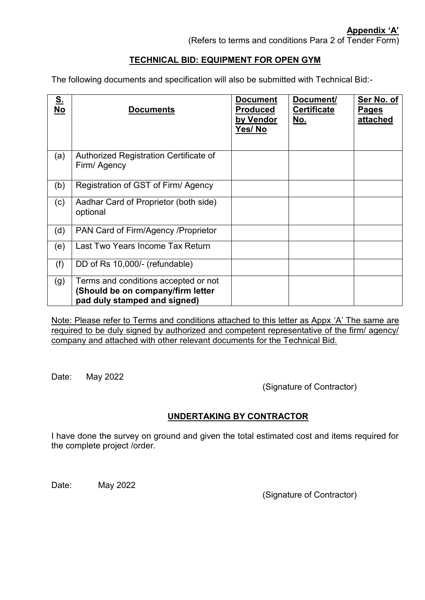## **TECHNICAL BID: EQUIPMENT FOR OPEN GYM**

The following documents and specification will also be submitted with Technical Bid:-

| <u>s.</u><br><b>No</b> | <b>Documents</b>                                                                                          | <b>Document</b><br><b>Produced</b><br>by Vendor<br>Yes/No | Document/<br><b>Certificate</b><br><u>No.</u> | Ser No. of<br>Pages<br>attached |
|------------------------|-----------------------------------------------------------------------------------------------------------|-----------------------------------------------------------|-----------------------------------------------|---------------------------------|
| (a)                    | Authorized Registration Certificate of<br>Firm/ Agency                                                    |                                                           |                                               |                                 |
| (b)                    | Registration of GST of Firm/Agency                                                                        |                                                           |                                               |                                 |
| (c)                    | Aadhar Card of Proprietor (both side)<br>optional                                                         |                                                           |                                               |                                 |
| (d)                    | PAN Card of Firm/Agency / Proprietor                                                                      |                                                           |                                               |                                 |
| (e)                    | Last Two Years Income Tax Return                                                                          |                                                           |                                               |                                 |
| (f)                    | DD of Rs 10,000/- (refundable)                                                                            |                                                           |                                               |                                 |
| (g)                    | Terms and conditions accepted or not<br>(Should be on company/firm letter<br>pad duly stamped and signed) |                                                           |                                               |                                 |

Note: Please refer to Terms and conditions attached to this letter as Appx 'A' The same are required to be duly signed by authorized and competent representative of the firm/ agency/ company and attached with other relevant documents for the Technical Bid.

Date: May 2022

(Signature of Contractor)

# **UNDERTAKING BY CONTRACTOR**

I have done the survey on ground and given the total estimated cost and items required for the complete project /order.

Date: May 2022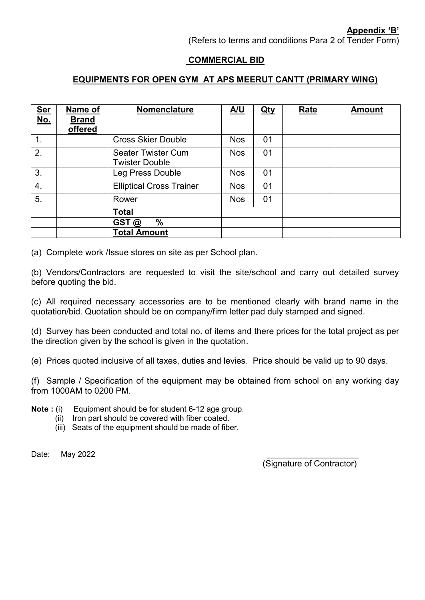(Refers to terms and conditions Para 2 of Tender Form)

#### **COMMERCIAL BID**

## **EQUIPMENTS FOR OPEN GYM AT APS MEERUT CANTT (PRIMARY WING)**

| <b>Ser</b><br><u>No.</u> | Name of<br><b>Brand</b><br>offered | Nomenclature                                       | <u>A/U</u> | <u>Qty</u> | <b>Rate</b> | <b>Amount</b> |
|--------------------------|------------------------------------|----------------------------------------------------|------------|------------|-------------|---------------|
| $\mathbf 1$ .            |                                    | <b>Cross Skier Double</b>                          | <b>Nos</b> | 01         |             |               |
| 2.                       |                                    | <b>Seater Twister Cum</b><br><b>Twister Double</b> | <b>Nos</b> | 01         |             |               |
| 3.                       |                                    | <b>Leg Press Double</b>                            | <b>Nos</b> | 01         |             |               |
| $\overline{4}$ .         |                                    | <b>Elliptical Cross Trainer</b>                    | <b>Nos</b> | 01         |             |               |
| 5.                       |                                    | Rower                                              | <b>Nos</b> | 01         |             |               |
|                          |                                    | <b>Total</b>                                       |            |            |             |               |
|                          |                                    | $\%$<br>GST@                                       |            |            |             |               |
|                          |                                    | <b>Total Amount</b>                                |            |            |             |               |

(a) Complete work /Issue stores on site as per School plan.

(b) Vendors/Contractors are requested to visit the site/school and carry out detailed survey before quoting the bid.

(c) All required necessary accessories are to be mentioned clearly with brand name in the quotation/bid. Quotation should be on company/firm letter pad duly stamped and signed.

(d) Survey has been conducted and total no. of items and there prices for the total project as per the direction given by the school is given in the quotation.

(e) Prices quoted inclusive of all taxes, duties and levies. Price should be valid up to 90 days.

(f) Sample / Specification of the equipment may be obtained from school on any working day from 1000AM to 0200 PM.

**Note :** (i) Equipment should be for student 6-12 age group.

- (ii) Iron part should be covered with fiber coated.
- (iii) Seats of the equipment should be made of fiber.

Date: May 2022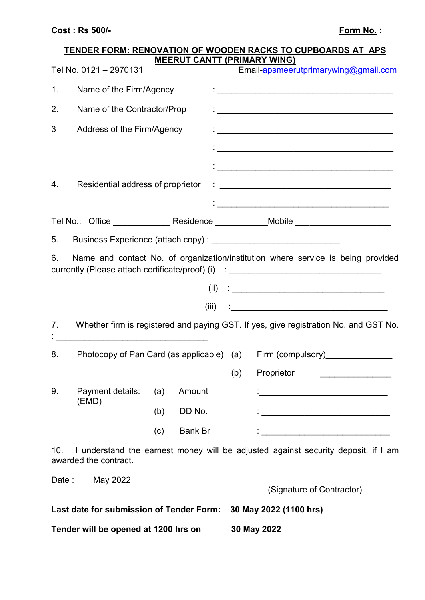|                |                                                             |     | <b>MEERUT CANTT (PRIMARY WING)</b> |     | <b>TENDER FORM: RENOVATION OF WOODEN RACKS TO CUPBOARDS AT APS</b>                                                                                                                                                                |
|----------------|-------------------------------------------------------------|-----|------------------------------------|-----|-----------------------------------------------------------------------------------------------------------------------------------------------------------------------------------------------------------------------------------|
|                | Tel No. 0121 - 2970131                                      |     |                                    |     | Email-apsmeerutprimarywing@gmail.com                                                                                                                                                                                              |
| 1 <sub>1</sub> | Name of the Firm/Agency                                     |     |                                    |     |                                                                                                                                                                                                                                   |
| 2.             | Name of the Contractor/Prop                                 |     |                                    |     |                                                                                                                                                                                                                                   |
| 3              | Address of the Firm/Agency                                  |     |                                    |     |                                                                                                                                                                                                                                   |
|                |                                                             |     |                                    |     |                                                                                                                                                                                                                                   |
|                |                                                             |     |                                    |     |                                                                                                                                                                                                                                   |
| 4.             | Residential address of proprietor                           |     |                                    |     | $\mathbf{1}$ . The contract of the contract of the contract of the contract of the contract of the contract of the contract of the contract of the contract of the contract of the contract of the contract of the contract of th |
|                |                                                             |     |                                    |     |                                                                                                                                                                                                                                   |
|                |                                                             |     |                                    |     | Tel No.: Office _______________ Residence ____________Mobile ___________________                                                                                                                                                  |
|                |                                                             |     |                                    |     |                                                                                                                                                                                                                                   |
| 6.             |                                                             |     | (iii)                              |     | Name and contact No. of organization/institution where service is being provided<br>currently (Please attach certificate/proof) (i) : ______________________________                                                              |
| 7.             | <u> 1980 - Jan Barbara Barbara, manazarta </u>              |     |                                    |     | Whether firm is registered and paying GST. If yes, give registration No. and GST No.                                                                                                                                              |
| 8.             | Photocopy of Pan Card (as applicable) (a) Firm (compulsory) |     |                                    |     |                                                                                                                                                                                                                                   |
|                |                                                             |     |                                    | (b) | Proprietor                                                                                                                                                                                                                        |
| 9.             | Payment details:                                            | (a) | Amount                             |     | <u> 1989 - Johann Harry Harry Harry Harry Harry Harry Harry Harry Harry Harry Harry Harry Harry Harry Harry Harry</u>                                                                                                             |
|                | (EMD)                                                       | (b) | DD No.                             |     |                                                                                                                                                                                                                                   |
|                |                                                             | (c) | <b>Bank Br</b>                     |     | <u> 1990 - Johann John Barn, mars eta inperiodore</u>                                                                                                                                                                             |
| 10.            | awarded the contract.                                       |     |                                    |     | I understand the earnest money will be adjusted against security deposit, if I am                                                                                                                                                 |
|                | Date: May 2022                                              |     |                                    |     |                                                                                                                                                                                                                                   |
|                |                                                             |     |                                    |     | (Signature of Contractor)                                                                                                                                                                                                         |
|                | Last date for submission of Tender Form:                    |     |                                    |     | 30 May 2022 (1100 hrs)                                                                                                                                                                                                            |
|                | Tender will be opened at 1200 hrs on                        |     |                                    |     | 30 May 2022                                                                                                                                                                                                                       |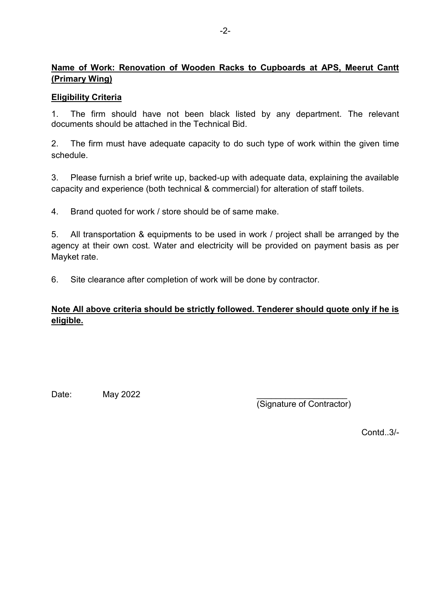# **Name of Work: Renovation of Wooden Racks to Cupboards at APS, Meerut Cantt (Primary Wing)**

## **Eligibility Criteria**

1. The firm should have not been black listed by any department. The relevant documents should be attached in the Technical Bid.

2. The firm must have adequate capacity to do such type of work within the given time schedule.

3. Please furnish a brief write up, backed-up with adequate data, explaining the available capacity and experience (both technical & commercial) for alteration of staff toilets.

4. Brand quoted for work / store should be of same make.

5. All transportation & equipments to be used in work / project shall be arranged by the agency at their own cost. Water and electricity will be provided on payment basis as per Mayket rate.

6. Site clearance after completion of work will be done by contractor.

# **Note All above criteria should be strictly followed. Tenderer should quote only if he is eligible.**

Date: **May 2022** 

(Signature of Contractor)

Contd..3/-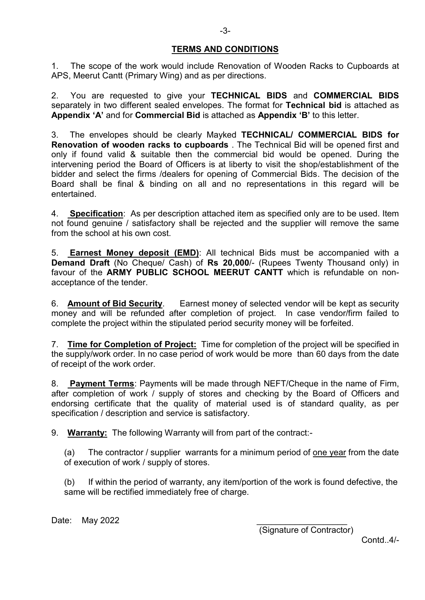#### **TERMS AND CONDITIONS**

1. The scope of the work would include Renovation of Wooden Racks to Cupboards at APS, Meerut Cantt (Primary Wing) and as per directions.

2. You are requested to give your **TECHNICAL BIDS** and **COMMERCIAL BIDS** separately in two different sealed envelopes. The format for **Technical bid** is attached as **Appendix 'A'** and for **Commercial Bid** is attached as **Appendix 'B'** to this letter.

3. The envelopes should be clearly Mayked **TECHNICAL/ COMMERCIAL BIDS for Renovation of wooden racks to cupboards** . The Technical Bid will be opened first and only if found valid & suitable then the commercial bid would be opened. During the intervening period the Board of Officers is at liberty to visit the shop/establishment of the bidder and select the firms /dealers for opening of Commercial Bids. The decision of the Board shall be final & binding on all and no representations in this regard will be entertained.

4. **Specification**: As per description attached item as specified only are to be used. Item not found genuine / satisfactory shall be rejected and the supplier will remove the same from the school at his own cost.

5. **Earnest Money deposit (EMD)**: All technical Bids must be accompanied with a **Demand Draft** (No Cheque/ Cash) of **Rs 20,000**/- (Rupees Twenty Thousand only) in favour of the **ARMY PUBLIC SCHOOL MEERUT CANTT** which is refundable on nonacceptance of the tender.

6. **Amount of Bid Security**. Earnest money of selected vendor will be kept as security money and will be refunded after completion of project. In case vendor/firm failed to complete the project within the stipulated period security money will be forfeited.

7. **Time for Completion of Project:** Time for completion of the project will be specified in the supply/work order. In no case period of work would be more than 60 days from the date of receipt of the work order.

8. **Payment Terms**: Payments will be made through NEFT/Cheque in the name of Firm, after completion of work / supply of stores and checking by the Board of Officers and endorsing certificate that the quality of material used is of standard quality, as per specification / description and service is satisfactory.

9. **Warranty:** The following Warranty will from part of the contract:-

(a) The contractor / supplier warrants for a minimum period of <u>one year</u> from the date of execution of work / supply of stores.

(b) If within the period of warranty, any item/portion of the work is found defective, the same will be rectified immediately free of charge.

Date: May 2022

(Signature of Contractor)

Contd 4/-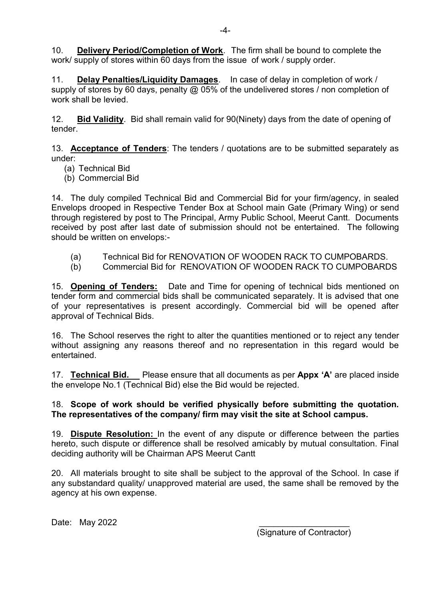10. **Delivery Period/Completion of Work**. The firm shall be bound to complete the work/ supply of stores within 60 days from the issue of work / supply order.

11. **Delay Penalties/Liquidity Damages**. In case of delay in completion of work / supply of stores by 60 days, penalty @ 05% of the undelivered stores / non completion of work shall be levied.

12. **Bid Validity**. Bid shall remain valid for 90(Ninety) days from the date of opening of tender.

13. **Acceptance of Tenders**: The tenders / quotations are to be submitted separately as under:

- (a) Technical Bid
- (b) Commercial Bid

14. The duly compiled Technical Bid and Commercial Bid for your firm/agency, in sealed Envelops drooped in Respective Tender Box at School main Gate (Primary Wing) or send through registered by post to The Principal, Army Public School, Meerut Cantt. Documents received by post after last date of submission should not be entertained. The following should be written on envelops:-

- (a) Technical Bid for RENOVATION OF WOODEN RACK TO CUMPOBARDS.
- (b) Commercial Bid for RENOVATION OF WOODEN RACK TO CUMPOBARDS

15. **Opening of Tenders:** Date and Time for opening of technical bids mentioned on tender form and commercial bids shall be communicated separately. It is advised that one of your representatives is present accordingly. Commercial bid will be opened after approval of Technical Bids.

16. The School reserves the right to alter the quantities mentioned or to reject any tender without assigning any reasons thereof and no representation in this regard would be entertained.

17. **Technical Bid.** Please ensure that all documents as per **Appx 'A'** are placed inside the envelope No.1 (Technical Bid) else the Bid would be rejected.

#### 18. **Scope of work should be verified physically before submitting the quotation. The representatives of the company/ firm may visit the site at School campus.**

19. **Dispute Resolution:** In the event of any dispute or difference between the parties hereto, such dispute or difference shall be resolved amicably by mutual consultation. Final deciding authority will be Chairman APS Meerut Cantt

20. All materials brought to site shall be subject to the approval of the School. In case if any substandard quality/ unapproved material are used, the same shall be removed by the agency at his own expense.

Date: May 2022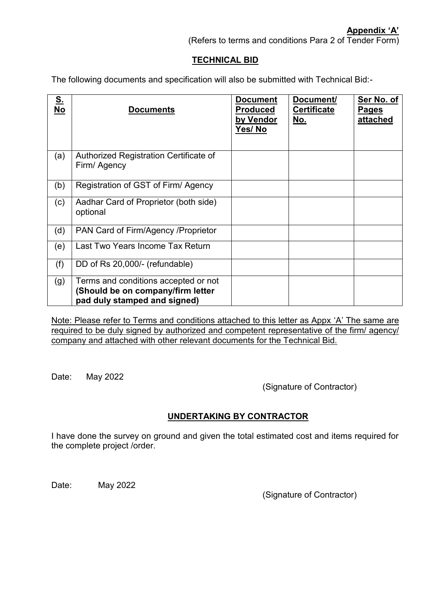(Refers to terms and conditions Para 2 of Tender Form)

## **TECHNICAL BID**

The following documents and specification will also be submitted with Technical Bid:-

| <u>s.</u><br><b>No</b> | <b>Documents</b>                                                                                          | <b>Document</b><br><b>Produced</b><br>by Vendor<br>Yes/No | Document/<br><b>Certificate</b><br><u>No.</u> | Ser No. of<br>Pages<br>attached |
|------------------------|-----------------------------------------------------------------------------------------------------------|-----------------------------------------------------------|-----------------------------------------------|---------------------------------|
| (a)                    | Authorized Registration Certificate of<br>Firm/ Agency                                                    |                                                           |                                               |                                 |
| (b)                    | Registration of GST of Firm/Agency                                                                        |                                                           |                                               |                                 |
| (c)                    | Aadhar Card of Proprietor (both side)<br>optional                                                         |                                                           |                                               |                                 |
| (d)                    | PAN Card of Firm/Agency / Proprietor                                                                      |                                                           |                                               |                                 |
| (e)                    | Last Two Years Income Tax Return                                                                          |                                                           |                                               |                                 |
| (f)                    | DD of Rs 20,000/- (refundable)                                                                            |                                                           |                                               |                                 |
| (g)                    | Terms and conditions accepted or not<br>(Should be on company/firm letter<br>pad duly stamped and signed) |                                                           |                                               |                                 |

Note: Please refer to Terms and conditions attached to this letter as Appx 'A' The same are required to be duly signed by authorized and competent representative of the firm/ agency/ company and attached with other relevant documents for the Technical Bid.

Date: May 2022

(Signature of Contractor)

## **UNDERTAKING BY CONTRACTOR**

I have done the survey on ground and given the total estimated cost and items required for the complete project /order.

Date: May 2022